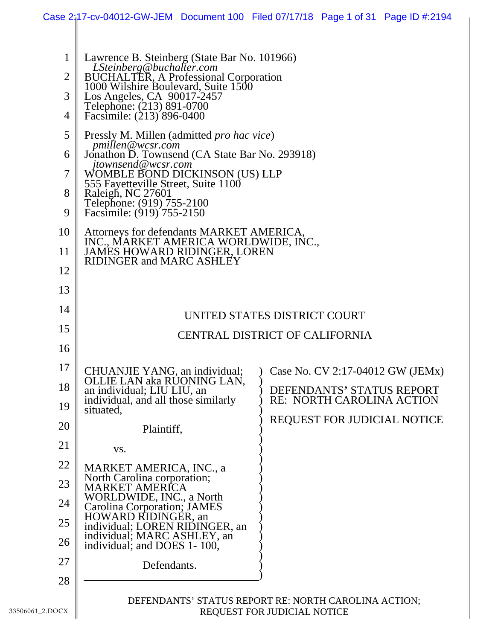|                                                        |                                                                                                                                                                                                                                                                                                                                                                                                                                                                            | Case 2:17-cv-04012-GW-JEM Document 100 Filed 07/17/18 Page 1 of 31 Page ID #:2194                                                                                |
|--------------------------------------------------------|----------------------------------------------------------------------------------------------------------------------------------------------------------------------------------------------------------------------------------------------------------------------------------------------------------------------------------------------------------------------------------------------------------------------------------------------------------------------------|------------------------------------------------------------------------------------------------------------------------------------------------------------------|
| $\mathbf 1$<br>$\overline{2}$<br>3<br>4<br>5<br>6<br>7 | Lawrence B. Steinberg (State Bar No. 101966)<br>LSteinberg@buchalter.com<br>BUCHALTER, A Professional Corporation<br>1000 Wilshire Boulevard, Suite 1500<br>Los Angeles, CA 90017-2457<br>Telephone: (213) 891-0700<br>Facsimile: (213) 896-0400<br>Pressly M. Millen (admitted <i>pro hac vice</i> )<br>pmillen@wcsr.com<br>Jonathon D. Townsend (CA State Bar No. 293918)<br>jtownsend@wcsr.com<br>WOMBLE BOND DICKINSON (US) LLP<br>555 Fayetteville Street, Suite 1100 |                                                                                                                                                                  |
| 8<br>9                                                 | Raleigh, NC 27601<br>Telephone: (919) 755-2100<br>Facsimile: (919) 755-2150                                                                                                                                                                                                                                                                                                                                                                                                |                                                                                                                                                                  |
| 10<br>11<br>12                                         | Attorneys for defendants MARKET AMERICA, INC., MARKET AMERICA WORLDWIDE, INC., JAMES HOWARD RIDINGER, LOREN<br><b>RIDINGER and MARC ASHLEY</b>                                                                                                                                                                                                                                                                                                                             |                                                                                                                                                                  |
| 13<br>14                                               |                                                                                                                                                                                                                                                                                                                                                                                                                                                                            |                                                                                                                                                                  |
| 15                                                     | UNITED STATES DISTRICT COURT                                                                                                                                                                                                                                                                                                                                                                                                                                               |                                                                                                                                                                  |
| 16                                                     |                                                                                                                                                                                                                                                                                                                                                                                                                                                                            | CENTRAL DISTRICT OF CALIFORNIA                                                                                                                                   |
| 17<br>18<br>19                                         | OLLIE LAN aka RUONING LAN,<br>an individual; LIU LIU, an<br>individual, and all those similarly<br>situated,                                                                                                                                                                                                                                                                                                                                                               | CHUANJIE YANG, an individual; ) Case No. CV 2:17-04012 GW (JEMx)<br>DEFENDANTS' STATUS REPORT<br><b>RE: NORTH CAROLINA ACTION</b><br>REQUEST FOR JUDICIAL NOTICE |
| 20                                                     | Plaintiff,                                                                                                                                                                                                                                                                                                                                                                                                                                                                 |                                                                                                                                                                  |
| 21                                                     | VS.                                                                                                                                                                                                                                                                                                                                                                                                                                                                        |                                                                                                                                                                  |
| 22                                                     | MARKET AMERICA, INC., a<br>North Carolina corporation;                                                                                                                                                                                                                                                                                                                                                                                                                     |                                                                                                                                                                  |
| 23<br>24                                               | <b>MARKET AMERICA</b><br>WORLDWIDE, INC., a North                                                                                                                                                                                                                                                                                                                                                                                                                          |                                                                                                                                                                  |
| 25                                                     | Carolina Corporation; JAMES<br>HOWARD RIDINGER, an                                                                                                                                                                                                                                                                                                                                                                                                                         |                                                                                                                                                                  |
| 26                                                     | individual; LOREN RIDINGER, an<br>individual; MARC ASHLEY, an<br>individual; and DOES 1-100,                                                                                                                                                                                                                                                                                                                                                                               |                                                                                                                                                                  |
| 27                                                     | Defendants.                                                                                                                                                                                                                                                                                                                                                                                                                                                                |                                                                                                                                                                  |
| 28                                                     |                                                                                                                                                                                                                                                                                                                                                                                                                                                                            |                                                                                                                                                                  |
| $_2.DOCX$                                              | DEFENDANTS' STATUS REPORT RE: NORTH CAROLINA ACTION;<br>REQUEST FOR JUDICIAL NOTICE                                                                                                                                                                                                                                                                                                                                                                                        |                                                                                                                                                                  |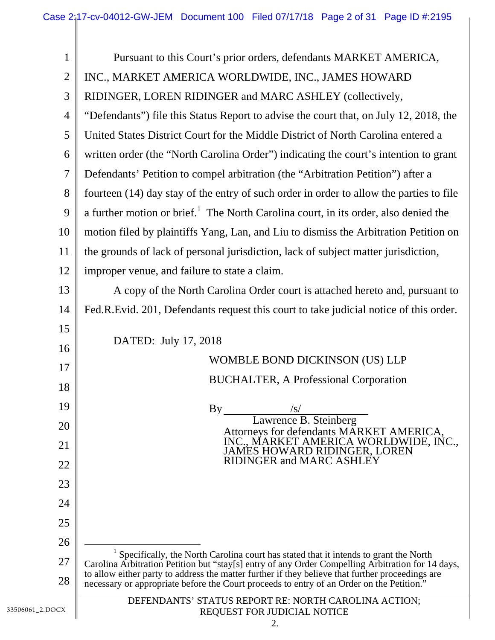| $\mathbf{1}$   | Pursuant to this Court's prior orders, defendants MARKET AMERICA,                                                                                                                             |  |
|----------------|-----------------------------------------------------------------------------------------------------------------------------------------------------------------------------------------------|--|
| $\overline{2}$ | INC., MARKET AMERICA WORLDWIDE, INC., JAMES HOWARD                                                                                                                                            |  |
| 3              | RIDINGER, LOREN RIDINGER and MARC ASHLEY (collectively,                                                                                                                                       |  |
| $\overline{4}$ | "Defendants") file this Status Report to advise the court that, on July 12, 2018, the                                                                                                         |  |
| 5              | United States District Court for the Middle District of North Carolina entered a                                                                                                              |  |
| 6              | written order (the "North Carolina Order") indicating the court's intention to grant                                                                                                          |  |
| $\overline{7}$ | Defendants' Petition to compel arbitration (the "Arbitration Petition") after a                                                                                                               |  |
| 8              | fourteen (14) day stay of the entry of such order in order to allow the parties to file                                                                                                       |  |
| 9              | a further motion or brief. <sup>1</sup> The North Carolina court, in its order, also denied the                                                                                               |  |
| 10             | motion filed by plaintiffs Yang, Lan, and Liu to dismiss the Arbitration Petition on                                                                                                          |  |
| 11             | the grounds of lack of personal jurisdiction, lack of subject matter jurisdiction,                                                                                                            |  |
| 12             | improper venue, and failure to state a claim.                                                                                                                                                 |  |
| 13             | A copy of the North Carolina Order court is attached hereto and, pursuant to                                                                                                                  |  |
| 14             | Fed.R.Evid. 201, Defendants request this court to take judicial notice of this order.                                                                                                         |  |
| 15             |                                                                                                                                                                                               |  |
| 16             | DATED: July 17, 2018                                                                                                                                                                          |  |
| 17             | WOMBLE BOND DICKINSON (US) LLP                                                                                                                                                                |  |
| 18             | <b>BUCHALTER, A Professional Corporation</b>                                                                                                                                                  |  |
| 19             | By<br>$\sqrt{s/2}$                                                                                                                                                                            |  |
| 20             | Lawrence B. Steinberg<br>Attorneys for defendants MARKET AMERICA,                                                                                                                             |  |
| 21             | INC., MARKET AMERICA WORLDWIDE, INC.,<br>JAMES HOWARD RIDINGER, LOREN                                                                                                                         |  |
| 22             | RIDINGER and MARC ASHLEY                                                                                                                                                                      |  |
| 23             |                                                                                                                                                                                               |  |
| 24             |                                                                                                                                                                                               |  |
| 25             |                                                                                                                                                                                               |  |
| 26             |                                                                                                                                                                                               |  |
| 27             | Specifically, the North Carolina court has stated that it intends to grant the North<br>Carolina Arbitration Petition but "stay[s] entry of any Order Compelling Arbitration for 14 days,     |  |
| 28             | to allow either party to address the matter further if they believe that further proceedings are<br>necessary or appropriate before the Court proceeds to entry of an Order on the Petition." |  |
|                | DEFENDANTS' STATUS REPORT RE: NORTH CAROLINA ACTION;                                                                                                                                          |  |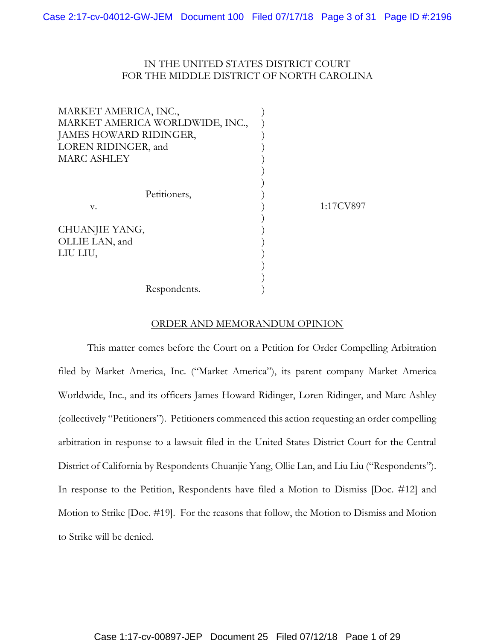# IN THE UNITED STATES DISTRICT COURT FOR THE MIDDLE DISTRICT OF NORTH CAROLINA

| MARKET AMERICA, INC.,<br>MARKET AMERICA WORLDWIDE, INC.,<br>JAMES HOWARD RIDINGER,<br>LOREN RIDINGER, and<br><b>MARC ASHLEY</b> |           |
|---------------------------------------------------------------------------------------------------------------------------------|-----------|
| Petitioners,<br>V.                                                                                                              | 1:17CV897 |
| CHUANJIE YANG,<br>OLLIE LAN, and<br>LIU LIU,                                                                                    |           |
| Respondents.                                                                                                                    |           |

### ORDER AND MEMORANDUM OPINION

This matter comes before the Court on a Petition for Order Compelling Arbitration filed by Market America, Inc. ("Market America"), its parent company Market America Worldwide, Inc., and its officers James Howard Ridinger, Loren Ridinger, and Marc Ashley (collectively "Petitioners"). Petitioners commenced this action requesting an order compelling arbitration in response to a lawsuit filed in the United States District Court for the Central District of California by Respondents Chuanjie Yang, Ollie Lan, and Liu Liu ("Respondents"). In response to the Petition, Respondents have filed a Motion to Dismiss [Doc. #12] and Motion to Strike [Doc. #19]. For the reasons that follow, the Motion to Dismiss and Motion to Strike will be denied.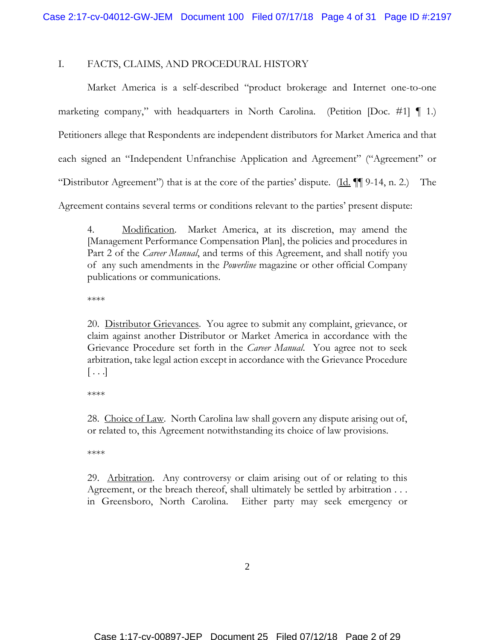# I. FACTS, CLAIMS, AND PROCEDURAL HISTORY

Market America is a self-described "product brokerage and Internet one-to-one marketing company," with headquarters in North Carolina. (Petition [Doc. #1]  $\P$  1.) Petitioners allege that Respondents are independent distributors for Market America and that each signed an "Independent Unfranchise Application and Agreement" ("Agreement" or "Distributor Agreement") that is at the core of the parties' dispute. (Id.  $\P$ ] 9-14, n. 2.) The Agreement contains several terms or conditions relevant to the parties' present dispute:

4. Modification. Market America, at its discretion, may amend the [Management Performance Compensation Plan], the policies and procedures in Part 2 of the *Career Manual*, and terms of this Agreement, and shall notify you of any such amendments in the *Powerline* magazine or other official Company publications or communications.

\*\*\*\*

20. Distributor Grievances. You agree to submit any complaint, grievance, or claim against another Distributor or Market America in accordance with the Grievance Procedure set forth in the *Career Manual*. You agree not to seek arbitration, take legal action except in accordance with the Grievance Procedure  $\vert \ldots \vert$ 

\*\*\*\*

28. Choice of Law. North Carolina law shall govern any dispute arising out of, or related to, this Agreement notwithstanding its choice of law provisions.

\*\*\*\*

29. Arbitration. Any controversy or claim arising out of or relating to this Agreement, or the breach thereof, shall ultimately be settled by arbitration . . . in Greensboro, North Carolina. Either party may seek emergency or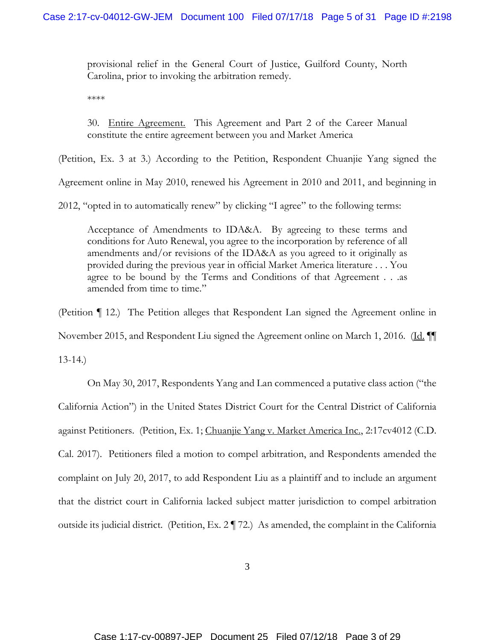provisional relief in the General Court of Justice, Guilford County, North Carolina, prior to invoking the arbitration remedy.

\*\*\*\*

30. Entire Agreement. This Agreement and Part 2 of the Career Manual constitute the entire agreement between you and Market America

(Petition, Ex. 3 at 3.) According to the Petition, Respondent Chuanjie Yang signed the

Agreement online in May 2010, renewed his Agreement in 2010 and 2011, and beginning in

2012, "opted in to automatically renew" by clicking "I agree" to the following terms:

Acceptance of Amendments to IDA&A. By agreeing to these terms and conditions for Auto Renewal, you agree to the incorporation by reference of all amendments and/or revisions of the IDA&A as you agreed to it originally as provided during the previous year in official Market America literature . . . You agree to be bound by the Terms and Conditions of that Agreement . . .as amended from time to time."

(Petition ¶ 12.) The Petition alleges that Respondent Lan signed the Agreement online in November 2015, and Respondent Liu signed the Agreement online on March 1, 2016. (Id.  $\P$ 

13-14.)

On May 30, 2017, Respondents Yang and Lan commenced a putative class action ("the California Action") in the United States District Court for the Central District of California against Petitioners. (Petition, Ex. 1; Chuanjie Yang v. Market America Inc., 2:17cv4012 (C.D. Cal. 2017). Petitioners filed a motion to compel arbitration, and Respondents amended the complaint on July 20, 2017, to add Respondent Liu as a plaintiff and to include an argument that the district court in California lacked subject matter jurisdiction to compel arbitration outside its judicial district. (Petition, Ex. 2 ¶ 72.) As amended, the complaint in the California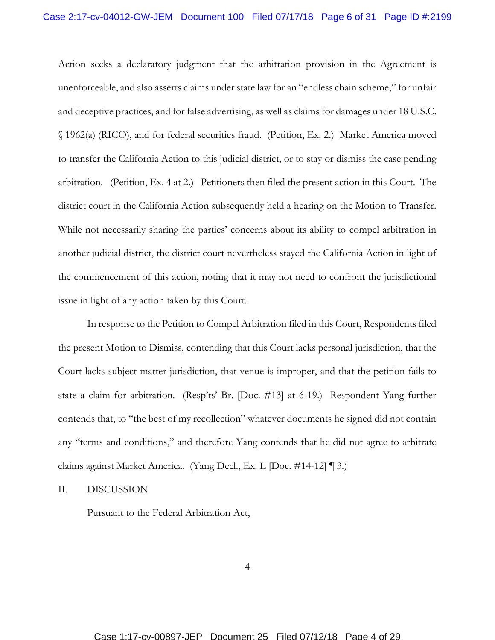Action seeks a declaratory judgment that the arbitration provision in the Agreement is unenforceable, and also asserts claims under state law for an "endless chain scheme," for unfair and deceptive practices, and for false advertising, as well as claims for damages under 18 U.S.C. § 1962(a) (RICO), and for federal securities fraud. (Petition, Ex. 2.) Market America moved to transfer the California Action to this judicial district, or to stay or dismiss the case pending arbitration. (Petition, Ex. 4 at 2.) Petitioners then filed the present action in this Court. The district court in the California Action subsequently held a hearing on the Motion to Transfer. While not necessarily sharing the parties' concerns about its ability to compel arbitration in another judicial district, the district court nevertheless stayed the California Action in light of the commencement of this action, noting that it may not need to confront the jurisdictional issue in light of any action taken by this Court.

In response to the Petition to Compel Arbitration filed in this Court, Respondents filed the present Motion to Dismiss, contending that this Court lacks personal jurisdiction, that the Court lacks subject matter jurisdiction, that venue is improper, and that the petition fails to state a claim for arbitration. (Resp'ts' Br. [Doc. #13] at 6-19.) Respondent Yang further contends that, to "the best of my recollection" whatever documents he signed did not contain any "terms and conditions," and therefore Yang contends that he did not agree to arbitrate claims against Market America. (Yang Decl., Ex. L [Doc. #14-12] ¶ 3.)

II. DISCUSSION

Pursuant to the Federal Arbitration Act,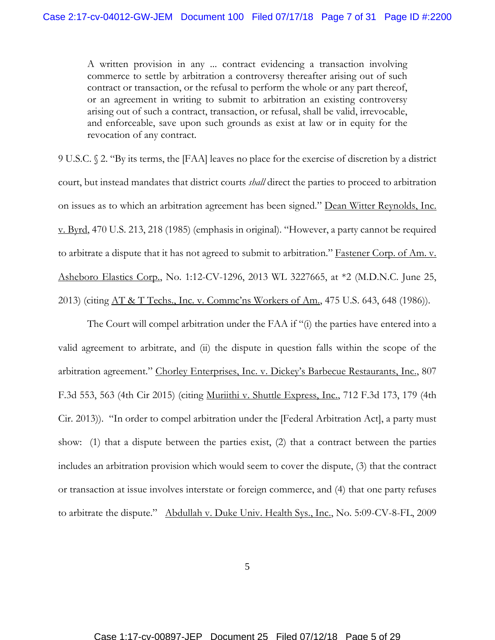A written provision in any ... contract evidencing a transaction involving commerce to settle by arbitration a controversy thereafter arising out of such contract or transaction, or the refusal to perform the whole or any part thereof, or an agreement in writing to submit to arbitration an existing controversy arising out of such a contract, transaction, or refusal, shall be valid, irrevocable, and enforceable, save upon such grounds as exist at law or in equity for the revocation of any contract.

9 U.S.C. § 2. "By its terms, the [FAA] leaves no place for the exercise of discretion by a district court, but instead mandates that district courts *shall* direct the parties to proceed to arbitration on issues as to which an arbitration agreement has been signed." Dean Witter Reynolds, Inc. v. Byrd, 470 U.S. 213, 218 (1985) (emphasis in original). "However, a party cannot be required to arbitrate a dispute that it has not agreed to submit to arbitration." Fastener Corp. of Am. v. Asheboro Elastics Corp., No. 1:12-CV-1296, 2013 WL 3227665, at \*2 (M.D.N.C. June 25, 2013) (citing <u>AT & T Techs., Inc. v. Comme'ns Workers of Am.</u>, 475 U.S. 643, 648 (1986)).

The Court will compel arbitration under the FAA if "(i) the parties have entered into a valid agreement to arbitrate, and (ii) the dispute in question falls within the scope of the arbitration agreement." Chorley Enterprises, Inc. v. Dickey's Barbecue Restaurants, Inc., 807 F.3d 553, 563 (4th Cir 2015) (citing Muriithi v. Shuttle Express, Inc., 712 F.3d 173, 179 (4th Cir. 2013)). "In order to compel arbitration under the [Federal Arbitration Act], a party must show: (1) that a dispute between the parties exist, (2) that a contract between the parties includes an arbitration provision which would seem to cover the dispute, (3) that the contract or transaction at issue involves interstate or foreign commerce, and (4) that one party refuses to arbitrate the dispute." Abdullah v. Duke Univ. Health Sys., Inc., No. 5:09-CV-8-FL, 2009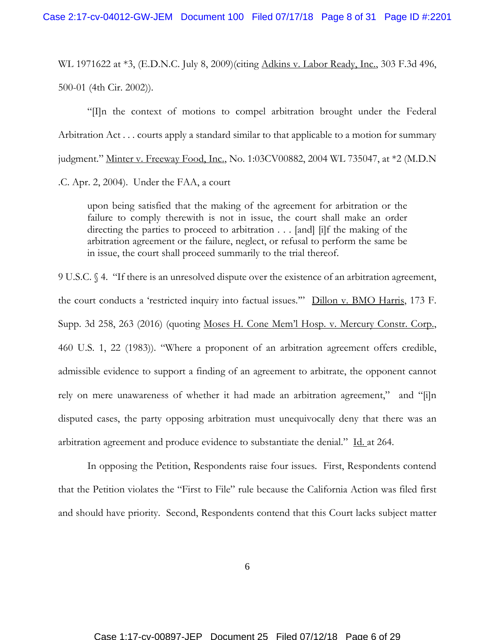WL 1971622 at \*3, (E.D.N.C. July 8, 2009)(citing Adkins v. Labor Ready, Inc., 303 F.3d 496, 500-01 (4th Cir. 2002)).

"[I]n the context of motions to compel arbitration brought under the Federal Arbitration Act . . . courts apply a standard similar to that applicable to a motion for summary judgment." Minter v. Freeway Food, Inc., No. 1:03CV00882, 2004 WL 735047, at \*2 (M.D.N

.C. Apr. 2, 2004). Under the FAA, a court

upon being satisfied that the making of the agreement for arbitration or the failure to comply therewith is not in issue, the court shall make an order directing the parties to proceed to arbitration . . . [and] [i]f the making of the arbitration agreement or the failure, neglect, or refusal to perform the same be in issue, the court shall proceed summarily to the trial thereof.

9 U.S.C. § 4. "If there is an unresolved dispute over the existence of an arbitration agreement, the court conducts a 'restricted inquiry into factual issues.'" Dillon v. BMO Harris, 173 F. Supp. 3d 258, 263 (2016) (quoting Moses H. Cone Mem'l Hosp. v. Mercury Constr. Corp., 460 U.S. 1, 22 (1983)). "Where a proponent of an arbitration agreement offers credible, admissible evidence to support a finding of an agreement to arbitrate, the opponent cannot rely on mere unawareness of whether it had made an arbitration agreement," and "[i]n disputed cases, the party opposing arbitration must unequivocally deny that there was an arbitration agreement and produce evidence to substantiate the denial." Id. at 264.

In opposing the Petition, Respondents raise four issues. First, Respondents contend that the Petition violates the "First to File" rule because the California Action was filed first and should have priority. Second, Respondents contend that this Court lacks subject matter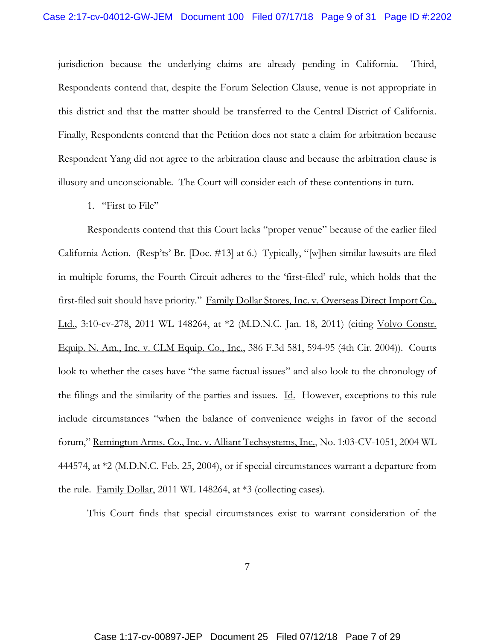jurisdiction because the underlying claims are already pending in California. Third, Respondents contend that, despite the Forum Selection Clause, venue is not appropriate in this district and that the matter should be transferred to the Central District of California. Finally, Respondents contend that the Petition does not state a claim for arbitration because Respondent Yang did not agree to the arbitration clause and because the arbitration clause is illusory and unconscionable. The Court will consider each of these contentions in turn.

1. "First to File"

Respondents contend that this Court lacks "proper venue" because of the earlier filed California Action. (Resp'ts' Br. [Doc. #13] at 6.) Typically, "[w]hen similar lawsuits are filed in multiple forums, the Fourth Circuit adheres to the 'first-filed' rule, which holds that the first-filed suit should have priority." Family Dollar Stores, Inc. v. Overseas Direct Import Co., Ltd., 3:10-cv-278, 2011 WL 148264, at \*2 (M.D.N.C. Jan. 18, 2011) (citing Volvo Constr. Equip. N. Am., Inc. v. CLM Equip. Co., Inc., 386 F.3d 581, 594-95 (4th Cir. 2004)). Courts look to whether the cases have "the same factual issues" and also look to the chronology of the filings and the similarity of the parties and issues. Id. However, exceptions to this rule include circumstances "when the balance of convenience weighs in favor of the second forum," Remington Arms. Co., Inc. v. Alliant Techsystems, Inc., No. 1:03-CV-1051, 2004 WL 444574, at \*2 (M.D.N.C. Feb. 25, 2004), or if special circumstances warrant a departure from the rule. Family Dollar, 2011 WL 148264, at \*3 (collecting cases).

This Court finds that special circumstances exist to warrant consideration of the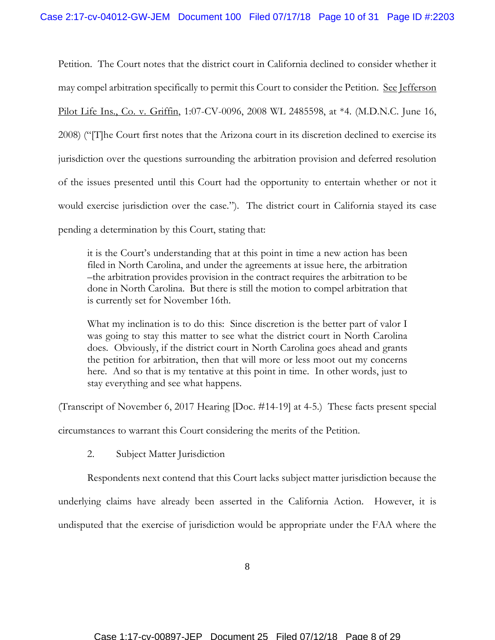Petition. The Court notes that the district court in California declined to consider whether it may compel arbitration specifically to permit this Court to consider the Petition. See Jefferson Pilot Life Ins., Co. v. Griffin, 1:07-CV-0096, 2008 WL 2485598, at \*4. (M.D.N.C. June 16, 2008) ("[T]he Court first notes that the Arizona court in its discretion declined to exercise its jurisdiction over the questions surrounding the arbitration provision and deferred resolution of the issues presented until this Court had the opportunity to entertain whether or not it would exercise jurisdiction over the case."). The district court in California stayed its case pending a determination by this Court, stating that:

it is the Court's understanding that at this point in time a new action has been filed in North Carolina, and under the agreements at issue here, the arbitration –the arbitration provides provision in the contract requires the arbitration to be done in North Carolina. But there is still the motion to compel arbitration that is currently set for November 16th.

What my inclination is to do this: Since discretion is the better part of valor I was going to stay this matter to see what the district court in North Carolina does. Obviously, if the district court in North Carolina goes ahead and grants the petition for arbitration, then that will more or less moot out my concerns here. And so that is my tentative at this point in time. In other words, just to stay everything and see what happens.

(Transcript of November 6, 2017 Hearing [Doc. #14-19] at 4-5.) These facts present special

circumstances to warrant this Court considering the merits of the Petition.

2. Subject Matter Jurisdiction

Respondents next contend that this Court lacks subject matter jurisdiction because the underlying claims have already been asserted in the California Action. However, it is undisputed that the exercise of jurisdiction would be appropriate under the FAA where the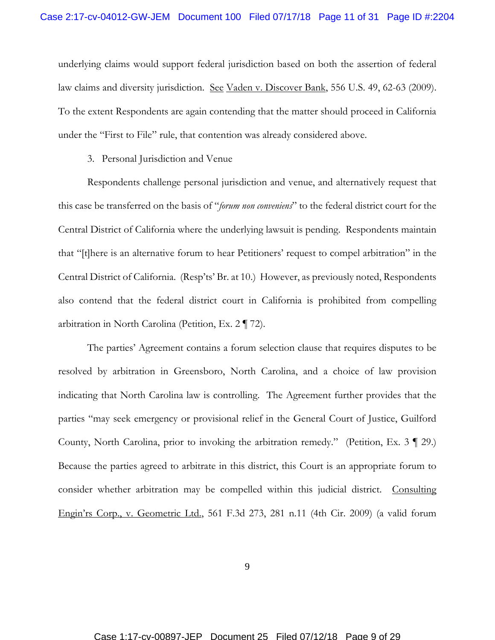underlying claims would support federal jurisdiction based on both the assertion of federal law claims and diversity jurisdiction. See Vaden v. Discover Bank, 556 U.S. 49, 62-63 (2009). To the extent Respondents are again contending that the matter should proceed in California under the "First to File" rule, that contention was already considered above.

3. Personal Jurisdiction and Venue

Respondents challenge personal jurisdiction and venue, and alternatively request that this case be transferred on the basis of "*forum non conveniens*" to the federal district court for the Central District of California where the underlying lawsuit is pending. Respondents maintain that "[t]here is an alternative forum to hear Petitioners' request to compel arbitration" in the Central District of California. (Resp'ts' Br. at 10.) However, as previously noted, Respondents also contend that the federal district court in California is prohibited from compelling arbitration in North Carolina (Petition, Ex. 2 ¶ 72).

The parties' Agreement contains a forum selection clause that requires disputes to be resolved by arbitration in Greensboro, North Carolina, and a choice of law provision indicating that North Carolina law is controlling. The Agreement further provides that the parties "may seek emergency or provisional relief in the General Court of Justice, Guilford County, North Carolina, prior to invoking the arbitration remedy." (Petition, Ex. 3 ¶ 29.) Because the parties agreed to arbitrate in this district, this Court is an appropriate forum to consider whether arbitration may be compelled within this judicial district. Consulting Engin'rs Corp., v. Geometric Ltd., 561 F.3d 273, 281 n.11 (4th Cir. 2009) (a valid forum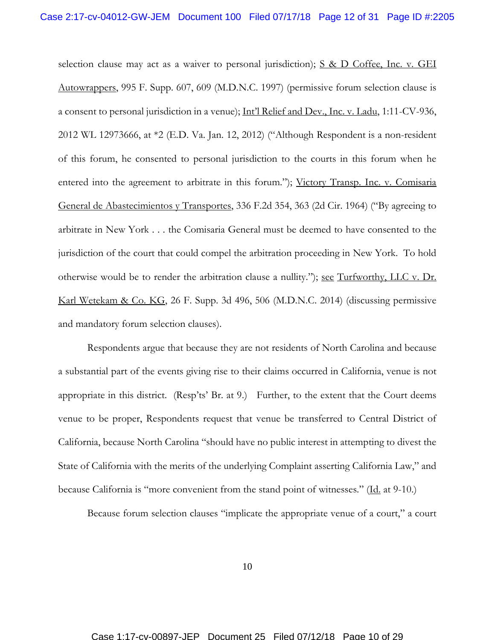selection clause may act as a waiver to personal jurisdiction);  $S \& D$  Coffee, Inc. v. GEI Autowrappers, 995 F. Supp. 607, 609 (M.D.N.C. 1997) (permissive forum selection clause is a consent to personal jurisdiction in a venue); Int'l Relief and Dev., Inc. v. Ladu, 1:11-CV-936, 2012 WL 12973666, at \*2 (E.D. Va. Jan. 12, 2012) ("Although Respondent is a non-resident of this forum, he consented to personal jurisdiction to the courts in this forum when he entered into the agreement to arbitrate in this forum."); Victory Transp. Inc. v. Comisaria General de Abastecimientos y Transportes, 336 F.2d 354, 363 (2d Cir. 1964) ("By agreeing to arbitrate in New York . . . the Comisaria General must be deemed to have consented to the jurisdiction of the court that could compel the arbitration proceeding in New York. To hold otherwise would be to render the arbitration clause a nullity."); see Turfworthy, LLC v. Dr. Karl Wetekam & Co. KG, 26 F. Supp. 3d 496, 506 (M.D.N.C. 2014) (discussing permissive and mandatory forum selection clauses).

Respondents argue that because they are not residents of North Carolina and because a substantial part of the events giving rise to their claims occurred in California, venue is not appropriate in this district. (Resp'ts' Br. at 9.) Further, to the extent that the Court deems venue to be proper, Respondents request that venue be transferred to Central District of California, because North Carolina "should have no public interest in attempting to divest the State of California with the merits of the underlying Complaint asserting California Law," and because California is "more convenient from the stand point of witnesses." (Id. at 9-10.)

Because forum selection clauses "implicate the appropriate venue of a court," a court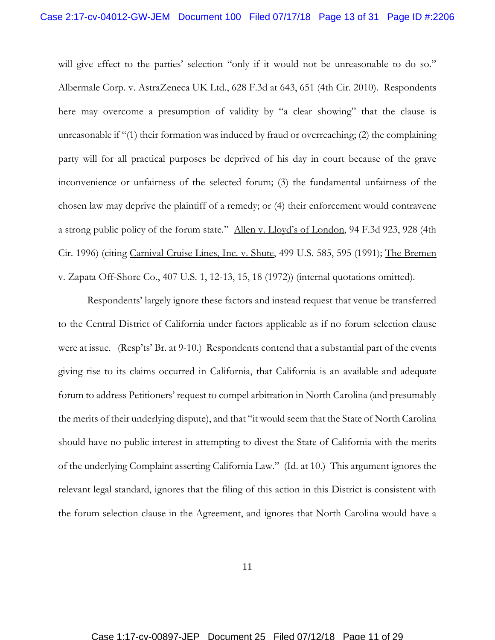will give effect to the parties' selection "only if it would not be unreasonable to do so." Albermale Corp. v. AstraZeneca UK Ltd., 628 F.3d at 643, 651 (4th Cir. 2010). Respondents here may overcome a presumption of validity by "a clear showing" that the clause is unreasonable if "(1) their formation was induced by fraud or overreaching; (2) the complaining party will for all practical purposes be deprived of his day in court because of the grave inconvenience or unfairness of the selected forum; (3) the fundamental unfairness of the chosen law may deprive the plaintiff of a remedy; or (4) their enforcement would contravene a strong public policy of the forum state." Allen v. Lloyd's of London, 94 F.3d 923, 928 (4th Cir. 1996) (citing Carnival Cruise Lines, Inc. v. Shute, 499 U.S. 585, 595 (1991); The Bremen v. Zapata Off-Shore Co., 407 U.S. 1, 12-13, 15, 18 (1972)) (internal quotations omitted).

Respondents' largely ignore these factors and instead request that venue be transferred to the Central District of California under factors applicable as if no forum selection clause were at issue. (Resp'ts' Br. at 9-10.) Respondents contend that a substantial part of the events giving rise to its claims occurred in California, that California is an available and adequate forum to address Petitioners' request to compel arbitration in North Carolina (and presumably the merits of their underlying dispute), and that "it would seem that the State of North Carolina should have no public interest in attempting to divest the State of California with the merits of the underlying Complaint asserting California Law." (Id. at 10.) This argument ignores the relevant legal standard, ignores that the filing of this action in this District is consistent with the forum selection clause in the Agreement, and ignores that North Carolina would have a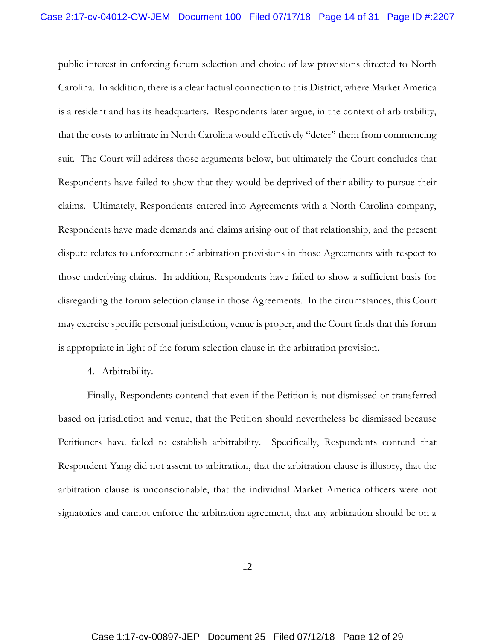public interest in enforcing forum selection and choice of law provisions directed to North Carolina. In addition, there is a clear factual connection to this District, where Market America is a resident and has its headquarters. Respondents later argue, in the context of arbitrability, that the costs to arbitrate in North Carolina would effectively "deter" them from commencing suit. The Court will address those arguments below, but ultimately the Court concludes that Respondents have failed to show that they would be deprived of their ability to pursue their claims. Ultimately, Respondents entered into Agreements with a North Carolina company, Respondents have made demands and claims arising out of that relationship, and the present dispute relates to enforcement of arbitration provisions in those Agreements with respect to those underlying claims. In addition, Respondents have failed to show a sufficient basis for disregarding the forum selection clause in those Agreements. In the circumstances, this Court may exercise specific personal jurisdiction, venue is proper, and the Court finds that this forum is appropriate in light of the forum selection clause in the arbitration provision.

4. Arbitrability.

Finally, Respondents contend that even if the Petition is not dismissed or transferred based on jurisdiction and venue, that the Petition should nevertheless be dismissed because Petitioners have failed to establish arbitrability. Specifically, Respondents contend that Respondent Yang did not assent to arbitration, that the arbitration clause is illusory, that the arbitration clause is unconscionable, that the individual Market America officers were not signatories and cannot enforce the arbitration agreement, that any arbitration should be on a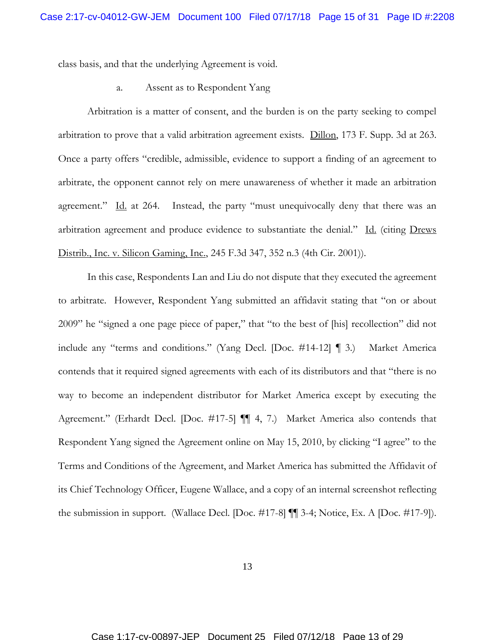class basis, and that the underlying Agreement is void.

a. Assent as to Respondent Yang

Arbitration is a matter of consent, and the burden is on the party seeking to compel arbitration to prove that a valid arbitration agreement exists. Dillon, 173 F. Supp. 3d at 263. Once a party offers "credible, admissible, evidence to support a finding of an agreement to arbitrate, the opponent cannot rely on mere unawareness of whether it made an arbitration agreement." Id. at 264. Instead, the party "must unequivocally deny that there was an arbitration agreement and produce evidence to substantiate the denial." Id. (citing Drews Distrib., Inc. v. Silicon Gaming, Inc., 245 F.3d 347, 352 n.3 (4th Cir. 2001)).

In this case, Respondents Lan and Liu do not dispute that they executed the agreement to arbitrate. However, Respondent Yang submitted an affidavit stating that "on or about 2009" he "signed a one page piece of paper," that "to the best of [his] recollection" did not include any "terms and conditions." (Yang Decl. [Doc. #14-12] ¶ 3.) Market America contends that it required signed agreements with each of its distributors and that "there is no way to become an independent distributor for Market America except by executing the Agreement." (Erhardt Decl. [Doc. #17-5] ¶¶ 4, 7.) Market America also contends that Respondent Yang signed the Agreement online on May 15, 2010, by clicking "I agree" to the Terms and Conditions of the Agreement, and Market America has submitted the Affidavit of its Chief Technology Officer, Eugene Wallace, and a copy of an internal screenshot reflecting the submission in support. (Wallace Decl. [Doc. #17-8] ¶¶ 3-4; Notice, Ex. A [Doc. #17-9]).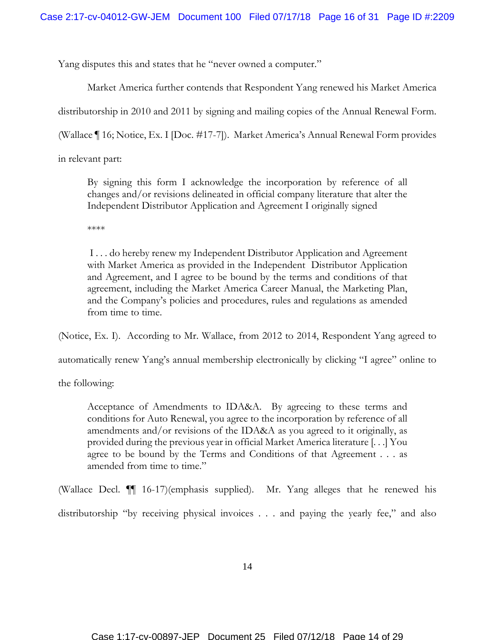Yang disputes this and states that he "never owned a computer."

Market America further contends that Respondent Yang renewed his Market America distributorship in 2010 and 2011 by signing and mailing copies of the Annual Renewal Form.

(Wallace ¶ 16; Notice, Ex. I [Doc. #17-7]). Market America's Annual Renewal Form provides

in relevant part:

By signing this form I acknowledge the incorporation by reference of all changes and/or revisions delineated in official company literature that alter the Independent Distributor Application and Agreement I originally signed

\*\*\*\*

I . . . do hereby renew my Independent Distributor Application and Agreement with Market America as provided in the Independent Distributor Application and Agreement, and I agree to be bound by the terms and conditions of that agreement, including the Market America Career Manual, the Marketing Plan, and the Company's policies and procedures, rules and regulations as amended from time to time.

(Notice, Ex. I). According to Mr. Wallace, from 2012 to 2014, Respondent Yang agreed to

automatically renew Yang's annual membership electronically by clicking "I agree" online to

the following:

Acceptance of Amendments to IDA&A. By agreeing to these terms and conditions for Auto Renewal, you agree to the incorporation by reference of all amendments and/or revisions of the IDA&A as you agreed to it originally, as provided during the previous year in official Market America literature [. . .] You agree to be bound by the Terms and Conditions of that Agreement . . . as amended from time to time."

(Wallace Decl. ¶¶ 16-17)(emphasis supplied). Mr. Yang alleges that he renewed his distributorship "by receiving physical invoices . . . and paying the yearly fee," and also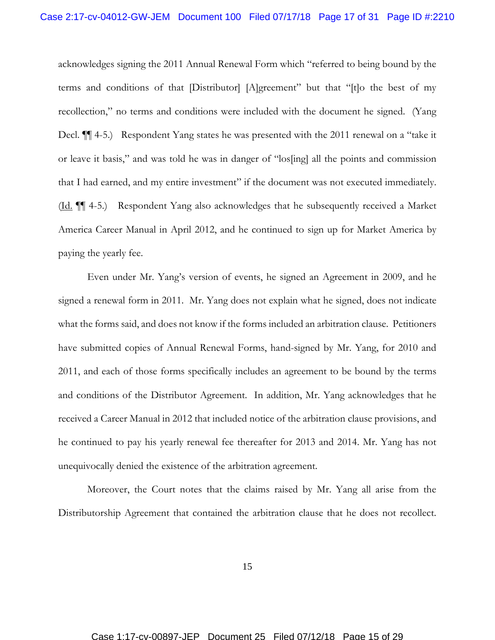acknowledges signing the 2011 Annual Renewal Form which "referred to being bound by the terms and conditions of that [Distributor] [A]greement" but that "[t]o the best of my recollection," no terms and conditions were included with the document he signed. (Yang Decl. **[14-5.**] Respondent Yang states he was presented with the 2011 renewal on a "take it" or leave it basis," and was told he was in danger of "los[ing] all the points and commission that I had earned, and my entire investment" if the document was not executed immediately. (Id. ¶¶ 4-5.) Respondent Yang also acknowledges that he subsequently received a Market America Career Manual in April 2012, and he continued to sign up for Market America by paying the yearly fee.

Even under Mr. Yang's version of events, he signed an Agreement in 2009, and he signed a renewal form in 2011. Mr. Yang does not explain what he signed, does not indicate what the forms said, and does not know if the forms included an arbitration clause. Petitioners have submitted copies of Annual Renewal Forms, hand-signed by Mr. Yang, for 2010 and 2011, and each of those forms specifically includes an agreement to be bound by the terms and conditions of the Distributor Agreement. In addition, Mr. Yang acknowledges that he received a Career Manual in 2012 that included notice of the arbitration clause provisions, and he continued to pay his yearly renewal fee thereafter for 2013 and 2014. Mr. Yang has not unequivocally denied the existence of the arbitration agreement.

Moreover, the Court notes that the claims raised by Mr. Yang all arise from the Distributorship Agreement that contained the arbitration clause that he does not recollect.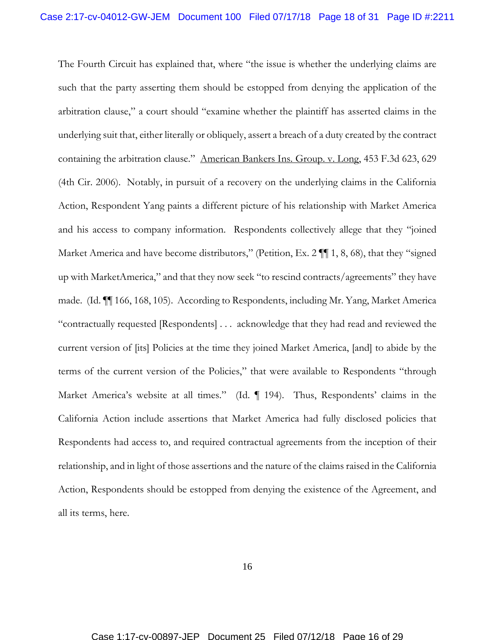The Fourth Circuit has explained that, where "the issue is whether the underlying claims are such that the party asserting them should be estopped from denying the application of the arbitration clause," a court should "examine whether the plaintiff has asserted claims in the underlying suit that, either literally or obliquely, assert a breach of a duty created by the contract containing the arbitration clause." American Bankers Ins. Group. v. Long, 453 F.3d 623, 629 (4th Cir. 2006). Notably, in pursuit of a recovery on the underlying claims in the California Action, Respondent Yang paints a different picture of his relationship with Market America and his access to company information. Respondents collectively allege that they "joined Market America and have become distributors," (Petition, Ex. 2  $\P$  1, 8, 68), that they "signed up with MarketAmerica," and that they now seek "to rescind contracts/agreements" they have made. (Id. ¶¶ 166, 168, 105). According to Respondents, including Mr. Yang, Market America "contractually requested [Respondents] . . . acknowledge that they had read and reviewed the current version of [its] Policies at the time they joined Market America, [and] to abide by the terms of the current version of the Policies," that were available to Respondents "through Market America's website at all times." (Id. ¶ 194). Thus, Respondents' claims in the California Action include assertions that Market America had fully disclosed policies that Respondents had access to, and required contractual agreements from the inception of their relationship, and in light of those assertions and the nature of the claims raised in the California Action, Respondents should be estopped from denying the existence of the Agreement, and all its terms, here.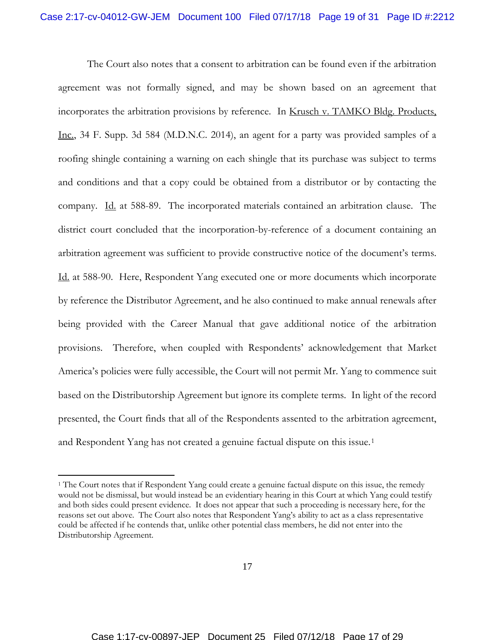The Court also notes that a consent to arbitration can be found even if the arbitration agreement was not formally signed, and may be shown based on an agreement that incorporates the arbitration provisions by reference. In Krusch v. TAMKO Bldg. Products, Inc., 34 F. Supp. 3d 584 (M.D.N.C. 2014), an agent for a party was provided samples of a roofing shingle containing a warning on each shingle that its purchase was subject to terms and conditions and that a copy could be obtained from a distributor or by contacting the company. Id. at 588-89. The incorporated materials contained an arbitration clause. The district court concluded that the incorporation-by-reference of a document containing an arbitration agreement was sufficient to provide constructive notice of the document's terms. Id. at 588-90. Here, Respondent Yang executed one or more documents which incorporate by reference the Distributor Agreement, and he also continued to make annual renewals after being provided with the Career Manual that gave additional notice of the arbitration provisions. Therefore, when coupled with Respondents' acknowledgement that Market America's policies were fully accessible, the Court will not permit Mr. Yang to commence suit based on the Distributorship Agreement but ignore its complete terms. In light of the record presented, the Court finds that all of the Respondents assented to the arbitration agreement, and Respondent Yang has not created a genuine factual dispute on this issue.1

 $\overline{a}$ 

<sup>&</sup>lt;sup>1</sup> The Court notes that if Respondent Yang could create a genuine factual dispute on this issue, the remedy would not be dismissal, but would instead be an evidentiary hearing in this Court at which Yang could testify and both sides could present evidence. It does not appear that such a proceeding is necessary here, for the reasons set out above. The Court also notes that Respondent Yang's ability to act as a class representative could be affected if he contends that, unlike other potential class members, he did not enter into the Distributorship Agreement.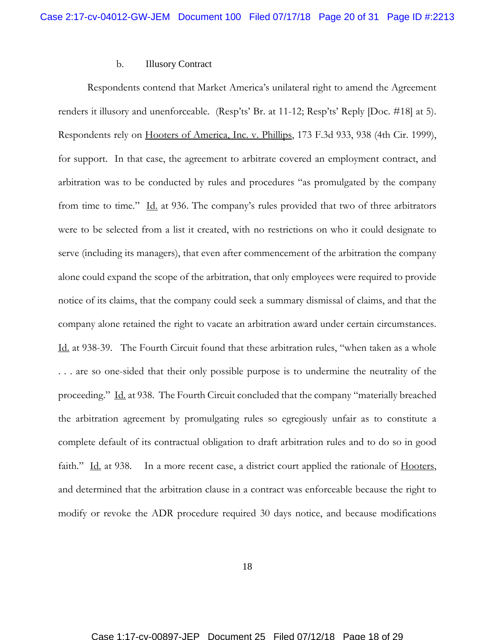#### b. Illusory Contract

Respondents contend that Market America's unilateral right to amend the Agreement renders it illusory and unenforceable. (Resp'ts' Br. at 11-12; Resp'ts' Reply [Doc. #18] at 5). Respondents rely on Hooters of America, Inc. v. Phillips, 173 F.3d 933, 938 (4th Cir. 1999), for support. In that case, the agreement to arbitrate covered an employment contract, and arbitration was to be conducted by rules and procedures "as promulgated by the company from time to time." Id. at 936. The company's rules provided that two of three arbitrators were to be selected from a list it created, with no restrictions on who it could designate to serve (including its managers), that even after commencement of the arbitration the company alone could expand the scope of the arbitration, that only employees were required to provide notice of its claims, that the company could seek a summary dismissal of claims, and that the company alone retained the right to vacate an arbitration award under certain circumstances. Id. at 938-39. The Fourth Circuit found that these arbitration rules, "when taken as a whole . . . are so one-sided that their only possible purpose is to undermine the neutrality of the proceeding." Id. at 938. The Fourth Circuit concluded that the company "materially breached the arbitration agreement by promulgating rules so egregiously unfair as to constitute a complete default of its contractual obligation to draft arbitration rules and to do so in good faith." Id. at 938. In a more recent case, a district court applied the rationale of Hooters, and determined that the arbitration clause in a contract was enforceable because the right to modify or revoke the ADR procedure required 30 days notice, and because modifications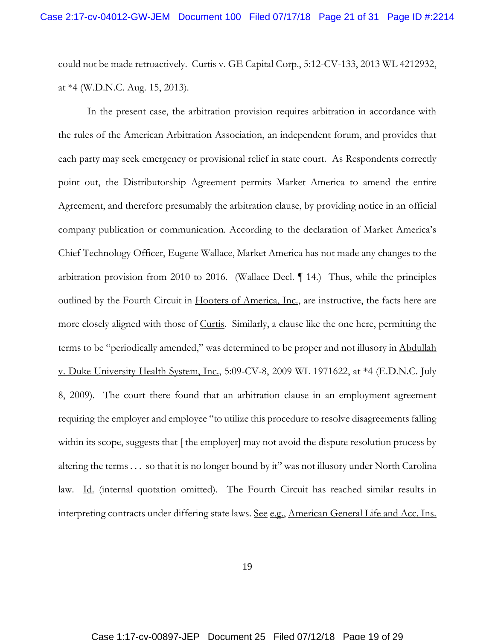could not be made retroactively. Curtis v. GE Capital Corp., 5:12-CV-133, 2013 WL 4212932, at \*4 (W.D.N.C. Aug. 15, 2013).

In the present case, the arbitration provision requires arbitration in accordance with the rules of the American Arbitration Association, an independent forum, and provides that each party may seek emergency or provisional relief in state court. As Respondents correctly point out, the Distributorship Agreement permits Market America to amend the entire Agreement, and therefore presumably the arbitration clause, by providing notice in an official company publication or communication. According to the declaration of Market America's Chief Technology Officer, Eugene Wallace, Market America has not made any changes to the arbitration provision from 2010 to 2016. (Wallace Decl. ¶ 14.) Thus, while the principles outlined by the Fourth Circuit in <u>Hooters of America, Inc.</u>, are instructive, the facts here are more closely aligned with those of Curtis. Similarly, a clause like the one here, permitting the terms to be "periodically amended," was determined to be proper and not illusory in Abdullah v. Duke University Health System, Inc., 5:09-CV-8, 2009 WL 1971622, at \*4 (E.D.N.C. July 8, 2009). The court there found that an arbitration clause in an employment agreement requiring the employer and employee "to utilize this procedure to resolve disagreements falling within its scope, suggests that [ the employer] may not avoid the dispute resolution process by altering the terms . . . so that it is no longer bound by it" was not illusory under North Carolina law. Id. (internal quotation omitted). The Fourth Circuit has reached similar results in interpreting contracts under differing state laws. See e.g., American General Life and Acc. Ins.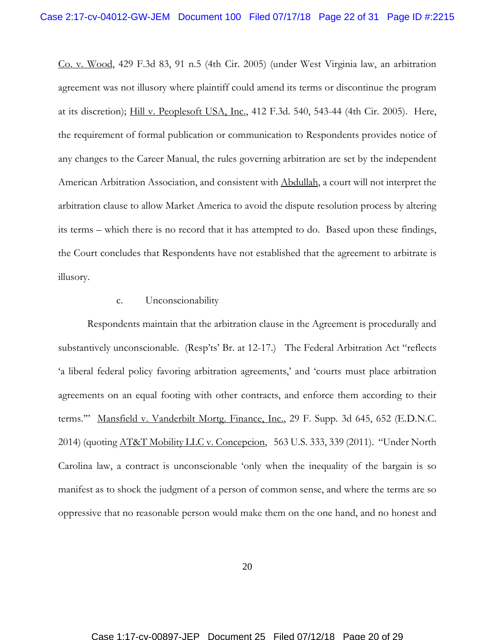Co. v. Wood, 429 F.3d 83, 91 n.5 (4th Cir. 2005) (under West Virginia law, an arbitration agreement was not illusory where plaintiff could amend its terms or discontinue the program at its discretion); Hill v. Peoplesoft USA, Inc., 412 F.3d. 540, 543-44 (4th Cir. 2005). Here, the requirement of formal publication or communication to Respondents provides notice of any changes to the Career Manual, the rules governing arbitration are set by the independent American Arbitration Association, and consistent with Abdullah, a court will not interpret the arbitration clause to allow Market America to avoid the dispute resolution process by altering its terms – which there is no record that it has attempted to do. Based upon these findings, the Court concludes that Respondents have not established that the agreement to arbitrate is illusory.

## c. Unconscionability

Respondents maintain that the arbitration clause in the Agreement is procedurally and substantively unconscionable. (Resp'ts' Br. at 12-17.) The Federal Arbitration Act "reflects 'a liberal federal policy favoring arbitration agreements,' and 'courts must place arbitration agreements on an equal footing with other contracts, and enforce them according to their terms."" Mansfield v. Vanderbilt Mortg. Finance, Inc., 29 F. Supp. 3d 645, 652 (E.D.N.C. 2014) (quoting *AT&T Mobility LLC v. Concepcion*, 563 U.S. 333, 339 (2011). "Under North Carolina law, a contract is unconscionable 'only when the inequality of the bargain is so manifest as to shock the judgment of a person of common sense, and where the terms are so oppressive that no reasonable person would make them on the one hand, and no honest and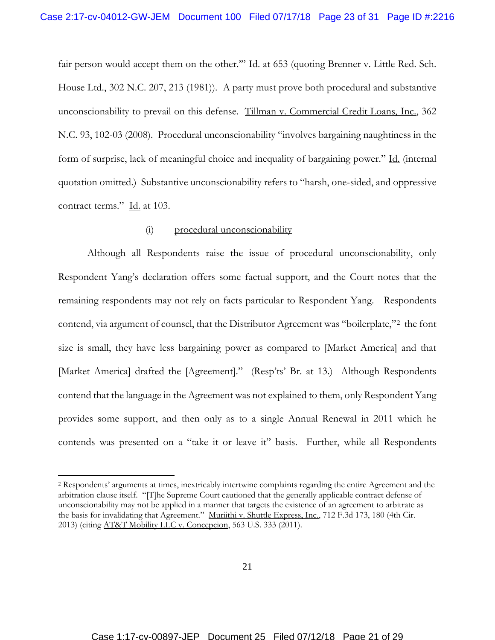fair person would accept them on the other."" Id. at 653 (quoting Brenner v. Little Red. Sch. House Ltd., 302 N.C. 207, 213 (1981)). A party must prove both procedural and substantive unconscionability to prevail on this defense. Tillman v. Commercial Credit Loans, Inc., 362 N.C. 93, 102-03 (2008). Procedural unconscionability "involves bargaining naughtiness in the form of surprise, lack of meaningful choice and inequality of bargaining power." Id. (internal quotation omitted.) Substantive unconscionability refers to "harsh, one-sided, and oppressive contract terms." Id. at 103.

## (i) procedural unconscionability

Although all Respondents raise the issue of procedural unconscionability, only Respondent Yang's declaration offers some factual support, and the Court notes that the remaining respondents may not rely on facts particular to Respondent Yang. Respondents contend, via argument of counsel, that the Distributor Agreement was "boilerplate,"2 the font size is small, they have less bargaining power as compared to [Market America] and that [Market America] drafted the [Agreement]." (Resp'ts' Br. at 13.) Although Respondents contend that the language in the Agreement was not explained to them, only Respondent Yang provides some support, and then only as to a single Annual Renewal in 2011 which he contends was presented on a "take it or leave it" basis. Further, while all Respondents

 $\overline{a}$ 

<sup>2</sup> Respondents' arguments at times, inextricably intertwine complaints regarding the entire Agreement and the arbitration clause itself. "[T]he Supreme Court cautioned that the generally applicable contract defense of unconscionability may not be applied in a manner that targets the existence of an agreement to arbitrate as the basis for invalidating that Agreement." Muriithi v. Shuttle Express, Inc., 712 F.3d 173, 180 (4th Cir. 2013) (citing AT&T Mobility LLC v. Concepcion, 563 U.S. 333 (2011).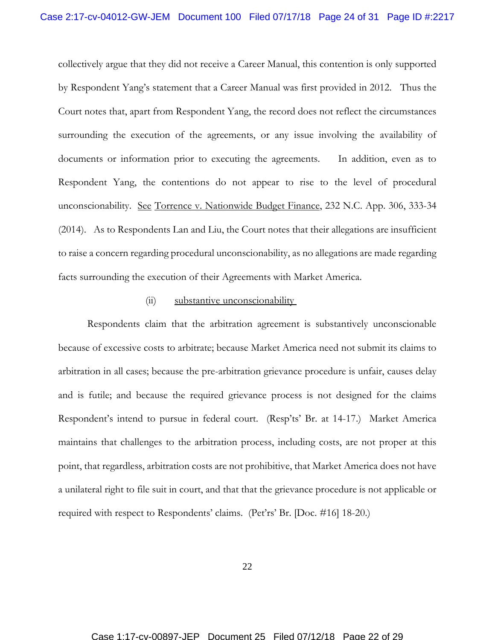collectively argue that they did not receive a Career Manual, this contention is only supported by Respondent Yang's statement that a Career Manual was first provided in 2012. Thus the Court notes that, apart from Respondent Yang, the record does not reflect the circumstances surrounding the execution of the agreements, or any issue involving the availability of documents or information prior to executing the agreements. In addition, even as to Respondent Yang, the contentions do not appear to rise to the level of procedural unconscionability. See Torrence v. Nationwide Budget Finance, 232 N.C. App. 306, 333-34 (2014). As to Respondents Lan and Liu, the Court notes that their allegations are insufficient to raise a concern regarding procedural unconscionability, as no allegations are made regarding facts surrounding the execution of their Agreements with Market America.

#### (ii) substantive unconscionability

Respondents claim that the arbitration agreement is substantively unconscionable because of excessive costs to arbitrate; because Market America need not submit its claims to arbitration in all cases; because the pre-arbitration grievance procedure is unfair, causes delay and is futile; and because the required grievance process is not designed for the claims Respondent's intend to pursue in federal court. (Resp'ts' Br. at 14-17.) Market America maintains that challenges to the arbitration process, including costs, are not proper at this point, that regardless, arbitration costs are not prohibitive, that Market America does not have a unilateral right to file suit in court, and that that the grievance procedure is not applicable or required with respect to Respondents' claims. (Pet'rs' Br. [Doc. #16] 18-20.)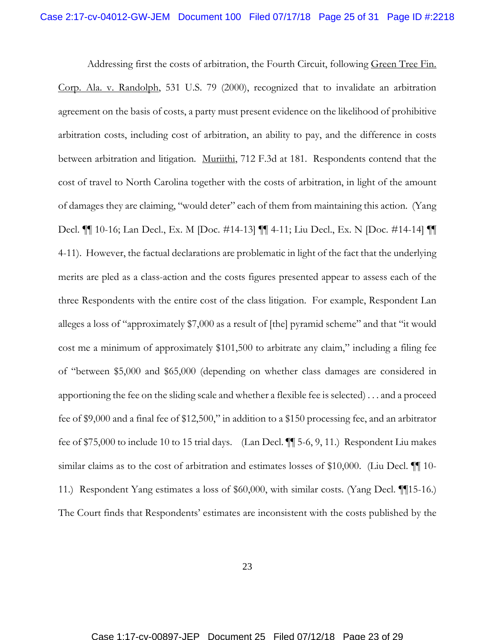Addressing first the costs of arbitration, the Fourth Circuit, following Green Tree Fin. Corp. Ala. v. Randolph, 531 U.S. 79 (2000), recognized that to invalidate an arbitration agreement on the basis of costs, a party must present evidence on the likelihood of prohibitive arbitration costs, including cost of arbitration, an ability to pay, and the difference in costs between arbitration and litigation. Muriithi, 712 F.3d at 181. Respondents contend that the cost of travel to North Carolina together with the costs of arbitration, in light of the amount of damages they are claiming, "would deter" each of them from maintaining this action. (Yang Decl. ¶¶ 10-16; Lan Decl., Ex. M [Doc. #14-13] ¶¶ 4-11; Liu Decl., Ex. N [Doc. #14-14] ¶¶ 4-11). However, the factual declarations are problematic in light of the fact that the underlying merits are pled as a class-action and the costs figures presented appear to assess each of the three Respondents with the entire cost of the class litigation. For example, Respondent Lan alleges a loss of "approximately \$7,000 as a result of [the] pyramid scheme" and that "it would cost me a minimum of approximately \$101,500 to arbitrate any claim," including a filing fee of "between \$5,000 and \$65,000 (depending on whether class damages are considered in apportioning the fee on the sliding scale and whether a flexible fee is selected) . . . and a proceed fee of \$9,000 and a final fee of \$12,500," in addition to a \$150 processing fee, and an arbitrator fee of \$75,000 to include 10 to 15 trial days. (Lan Decl. ¶¶ 5-6, 9, 11.) Respondent Liu makes similar claims as to the cost of arbitration and estimates losses of \$10,000. (Liu Decl.  $\P$  10-11.) Respondent Yang estimates a loss of \$60,000, with similar costs. (Yang Decl. ¶¶15-16.) The Court finds that Respondents' estimates are inconsistent with the costs published by the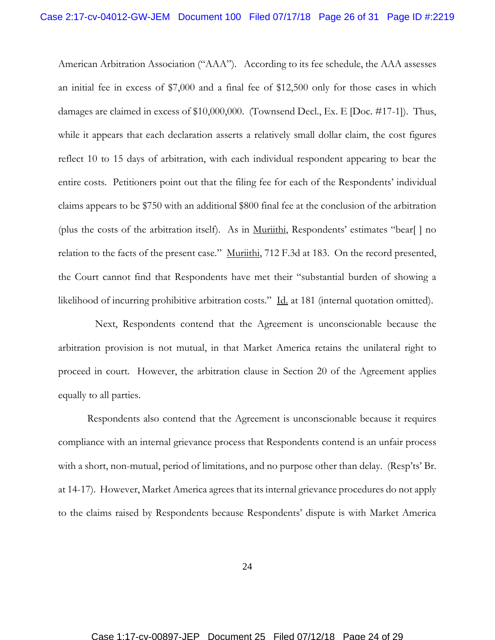American Arbitration Association ("AAA"). According to its fee schedule, the AAA assesses an initial fee in excess of \$7,000 and a final fee of \$12,500 only for those cases in which damages are claimed in excess of \$10,000,000. (Townsend Decl., Ex. E [Doc. #17-1]). Thus, while it appears that each declaration asserts a relatively small dollar claim, the cost figures reflect 10 to 15 days of arbitration, with each individual respondent appearing to bear the entire costs. Petitioners point out that the filing fee for each of the Respondents' individual claims appears to be \$750 with an additional \$800 final fee at the conclusion of the arbitration (plus the costs of the arbitration itself). As in  $Murithi$ , Respondents' estimates "bear[ ] no relation to the facts of the present case." Murithi, 712 F.3d at 183. On the record presented, the Court cannot find that Respondents have met their "substantial burden of showing a likelihood of incurring prohibitive arbitration costs." Id. at 181 (internal quotation omitted).

 Next, Respondents contend that the Agreement is unconscionable because the arbitration provision is not mutual, in that Market America retains the unilateral right to proceed in court. However, the arbitration clause in Section 20 of the Agreement applies equally to all parties.

Respondents also contend that the Agreement is unconscionable because it requires compliance with an internal grievance process that Respondents contend is an unfair process with a short, non-mutual, period of limitations, and no purpose other than delay. (Resp'ts' Br. at 14-17). However, Market America agrees that its internal grievance procedures do not apply to the claims raised by Respondents because Respondents' dispute is with Market America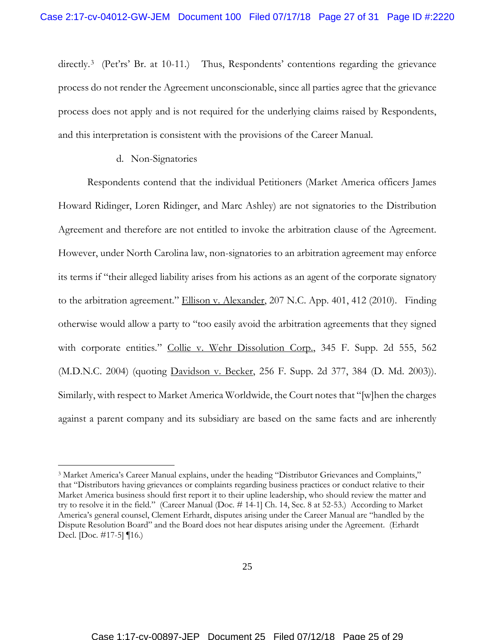directly.<sup>3</sup> (Pet'rs' Br. at 10-11.) Thus, Respondents' contentions regarding the grievance process do not render the Agreement unconscionable, since all parties agree that the grievance process does not apply and is not required for the underlying claims raised by Respondents, and this interpretation is consistent with the provisions of the Career Manual.

#### d. Non-Signatories

 $\overline{a}$ 

Respondents contend that the individual Petitioners (Market America officers James Howard Ridinger, Loren Ridinger, and Marc Ashley) are not signatories to the Distribution Agreement and therefore are not entitled to invoke the arbitration clause of the Agreement. However, under North Carolina law, non-signatories to an arbitration agreement may enforce its terms if "their alleged liability arises from his actions as an agent of the corporate signatory to the arbitration agreement." Ellison v. Alexander, 207 N.C. App. 401, 412 (2010). Finding otherwise would allow a party to "too easily avoid the arbitration agreements that they signed with corporate entities." Collie v. Wehr Dissolution Corp., 345 F. Supp. 2d 555, 562 (M.D.N.C. 2004) (quoting <u>Davidson v. Becker</u>, 256 F. Supp. 2d 377, 384 (D. Md. 2003)). Similarly, with respect to Market America Worldwide, the Court notes that "[w]hen the charges against a parent company and its subsidiary are based on the same facts and are inherently

<sup>3</sup> Market America's Career Manual explains, under the heading "Distributor Grievances and Complaints," that "Distributors having grievances or complaints regarding business practices or conduct relative to their Market America business should first report it to their upline leadership, who should review the matter and try to resolve it in the field." (Career Manual (Doc. # 14-1] Ch. 14, Sec. 8 at 52-53.) According to Market America's general counsel, Clement Erhardt, disputes arising under the Career Manual are "handled by the Dispute Resolution Board" and the Board does not hear disputes arising under the Agreement. (Erhardt Decl. [Doc. #17-5] ¶16.)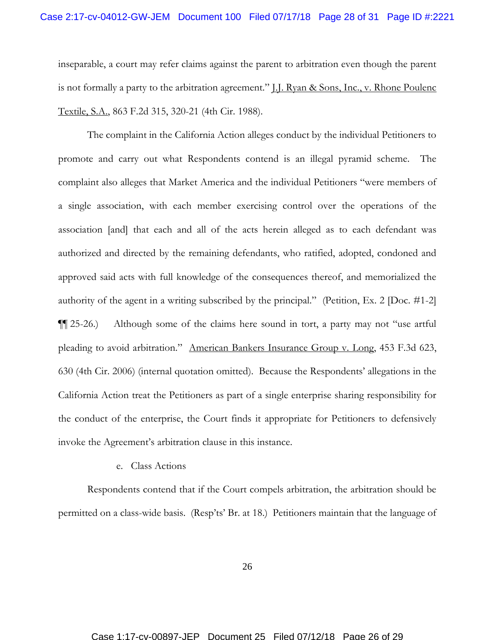inseparable, a court may refer claims against the parent to arbitration even though the parent is not formally a party to the arbitration agreement." *[.]. Ryan & Sons, Inc., v. Rhone Poulenc* Textile, S.A., 863 F.2d 315, 320-21 (4th Cir. 1988).

The complaint in the California Action alleges conduct by the individual Petitioners to promote and carry out what Respondents contend is an illegal pyramid scheme. The complaint also alleges that Market America and the individual Petitioners "were members of a single association, with each member exercising control over the operations of the association [and] that each and all of the acts herein alleged as to each defendant was authorized and directed by the remaining defendants, who ratified, adopted, condoned and approved said acts with full knowledge of the consequences thereof, and memorialized the authority of the agent in a writing subscribed by the principal." (Petition, Ex. 2 [Doc. #1-2] ¶¶ 25-26.) Although some of the claims here sound in tort, a party may not "use artful pleading to avoid arbitration." American Bankers Insurance Group v. Long, 453 F.3d 623, 630 (4th Cir. 2006) (internal quotation omitted). Because the Respondents' allegations in the California Action treat the Petitioners as part of a single enterprise sharing responsibility for the conduct of the enterprise, the Court finds it appropriate for Petitioners to defensively invoke the Agreement's arbitration clause in this instance.

## e. Class Actions

Respondents contend that if the Court compels arbitration, the arbitration should be permitted on a class-wide basis. (Resp'ts' Br. at 18.) Petitioners maintain that the language of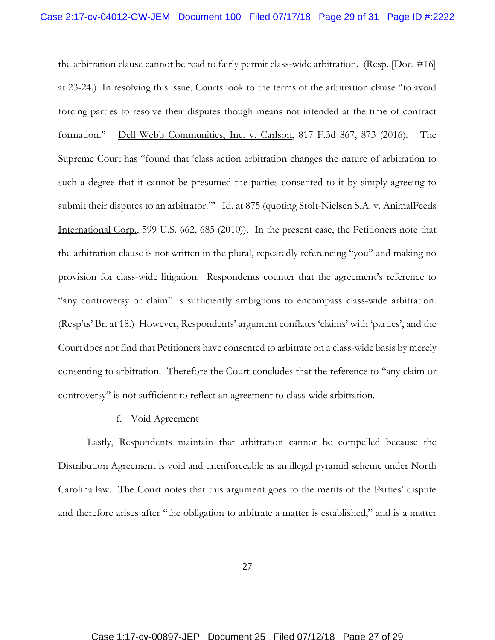the arbitration clause cannot be read to fairly permit class-wide arbitration. (Resp. [Doc. #16] at 23-24.) In resolving this issue, Courts look to the terms of the arbitration clause "to avoid forcing parties to resolve their disputes though means not intended at the time of contract formation." Dell Webb Communities, Inc. v. Carlson, 817 F.3d 867, 873 (2016). The Supreme Court has "found that 'class action arbitration changes the nature of arbitration to such a degree that it cannot be presumed the parties consented to it by simply agreeing to submit their disputes to an arbitrator." Id. at 875 (quoting Stolt-Nielsen S.A. v. AnimalFeeds International Corp., 599 U.S. 662, 685 (2010)). In the present case, the Petitioners note that the arbitration clause is not written in the plural, repeatedly referencing "you" and making no provision for class-wide litigation. Respondents counter that the agreement's reference to "any controversy or claim" is sufficiently ambiguous to encompass class-wide arbitration. (Resp'ts' Br. at 18.) However, Respondents' argument conflates 'claims' with 'parties', and the Court does not find that Petitioners have consented to arbitrate on a class-wide basis by merely consenting to arbitration. Therefore the Court concludes that the reference to "any claim or controversy" is not sufficient to reflect an agreement to class-wide arbitration.

f. Void Agreement

Lastly, Respondents maintain that arbitration cannot be compelled because the Distribution Agreement is void and unenforceable as an illegal pyramid scheme under North Carolina law. The Court notes that this argument goes to the merits of the Parties' dispute and therefore arises after "the obligation to arbitrate a matter is established," and is a matter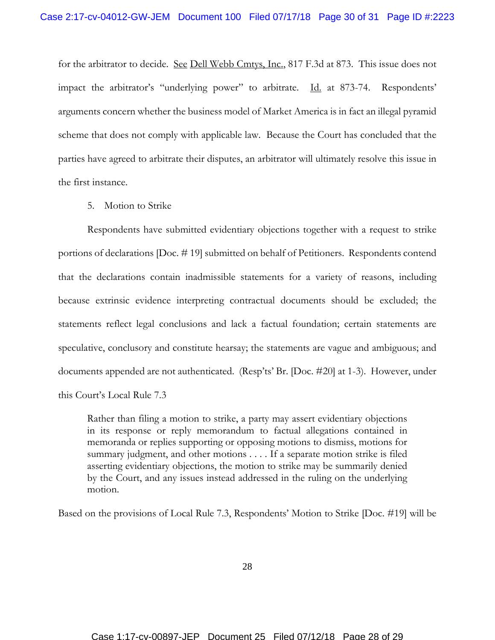for the arbitrator to decide. See Dell Webb Cmtys, Inc., 817 F.3d at 873. This issue does not impact the arbitrator's "underlying power" to arbitrate. Id. at 873-74. Respondents' arguments concern whether the business model of Market America is in fact an illegal pyramid scheme that does not comply with applicable law. Because the Court has concluded that the parties have agreed to arbitrate their disputes, an arbitrator will ultimately resolve this issue in the first instance.

5. Motion to Strike

Respondents have submitted evidentiary objections together with a request to strike portions of declarations [Doc. # 19] submitted on behalf of Petitioners. Respondents contend that the declarations contain inadmissible statements for a variety of reasons, including because extrinsic evidence interpreting contractual documents should be excluded; the statements reflect legal conclusions and lack a factual foundation; certain statements are speculative, conclusory and constitute hearsay; the statements are vague and ambiguous; and documents appended are not authenticated. (Resp'ts' Br. [Doc. #20] at 1-3). However, under this Court's Local Rule 7.3

Rather than filing a motion to strike, a party may assert evidentiary objections in its response or reply memorandum to factual allegations contained in memoranda or replies supporting or opposing motions to dismiss, motions for summary judgment, and other motions . . . . If a separate motion strike is filed asserting evidentiary objections, the motion to strike may be summarily denied by the Court, and any issues instead addressed in the ruling on the underlying motion.

Based on the provisions of Local Rule 7.3, Respondents' Motion to Strike [Doc. #19] will be